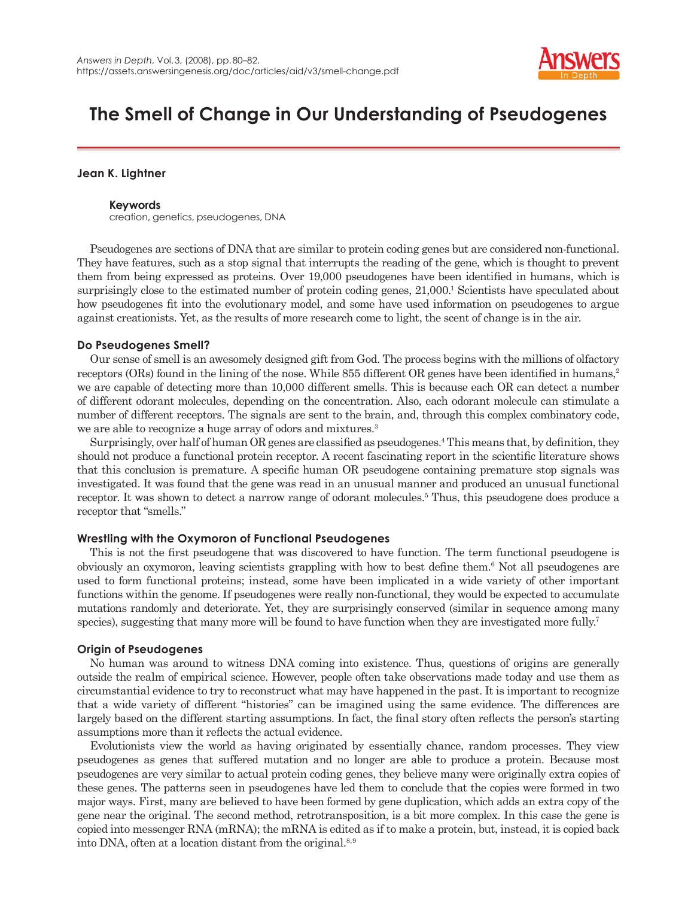

# **The Smell of Change in Our Understanding of Pseudogenes**

# **Jean K. Lightner**

# **Keywords**

creation, genetics, pseudogenes, DNA

Pseudogenes are sections of DNA that are similar to protein coding genes but are considered non-functional. They have features, such as a stop signal that interrupts the reading of the gene, which is thought to prevent them from being expressed as proteins. Over 19,000 pseudogenes have been identified in humans, which is surprisingly close to the estimated number of protein coding genes,  $21,000$ . Scientists have speculated about how pseudogenes fit into the evolutionary model, and some have used information on pseudogenes to argue against creationists. Yet, as the results of more research come to light, the scent of change is in the air.

# **Do Pseudogenes Smell?**

Our sense of smell is an awesomely designed gift from God. The process begins with the millions of olfactory receptors (ORs) found in the lining of the nose. While 855 different OR genes have been identified in humans,<sup>2</sup> we are capable of detecting more than 10,000 different smells. This is because each OR can detect a number of different odorant molecules, depending on the concentration. Also, each odorant molecule can stimulate a number of different receptors. The signals are sent to the brain, and, through this complex combinatory code, we are able to recognize a huge array of odors and mixtures.<sup>3</sup>

Surprisingly, over half of human OR genes are classified as pseudogenes.<sup>4</sup> This means that, by definition, they should not produce a functional protein receptor. A recent fascinating report in the scientific literature shows that this conclusion is premature. A specific human OR pseudogene containing premature stop signals was investigated. It was found that the gene was read in an unusual manner and produced an unusual functional receptor. It was shown to detect a narrow range of odorant molecules.<sup>5</sup> Thus, this pseudogene does produce a receptor that "smells."

# **Wrestling with the Oxymoron of Functional Pseudogenes**

This is not the first pseudogene that was discovered to have function. The term functional pseudogene is obviously an oxymoron, leaving scientists grappling with how to best define them.<sup>6</sup> Not all pseudogenes are used to form functional proteins; instead, some have been implicated in a wide variety of other important functions within the genome. If pseudogenes were really non-functional, they would be expected to accumulate mutations randomly and deteriorate. Yet, they are surprisingly conserved (similar in sequence among many species), suggesting that many more will be found to have function when they are investigated more fully.<sup>7</sup>

# **Origin of Pseudogenes**

No human was around to witness DNA coming into existence. Thus, questions of origins are generally outside the realm of empirical science. However, people often take observations made today and use them as circumstantial evidence to try to reconstruct what may have happened in the past. It is important to recognize that a wide variety of different "histories" can be imagined using the same evidence. The differences are largely based on the different starting assumptions. In fact, the final story often reflects the person's starting assumptions more than it reflects the actual evidence.

Evolutionists view the world as having originated by essentially chance, random processes. They view pseudogenes as genes that suffered mutation and no longer are able to produce a protein. Because most pseudogenes are very similar to actual protein coding genes, they believe many were originally extra copies of these genes. The patterns seen in pseudogenes have led them to conclude that the copies were formed in two major ways. First, many are believed to have been formed by gene duplication, which adds an extra copy of the gene near the original. The second method, retrotransposition, is a bit more complex. In this case the gene is copied into messenger RNA (mRNA); the mRNA is edited as if to make a protein, but, instead, it is copied back into DNA, often at a location distant from the original.<sup>8,9</sup>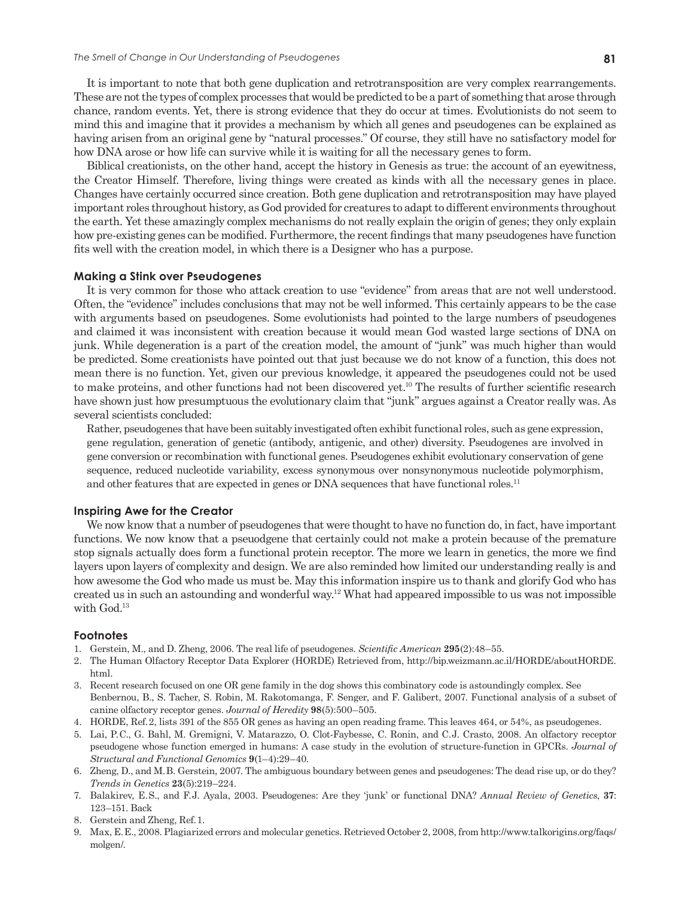It is important to note that both gene duplication and retrotransposition are very complex rearrangements. These are not the types of complex processes that would be predicted to be a part of something that arose through chance, random events. Yet, there is strong evidence that they do occur at times. Evolutionists do not seem to mind this and imagine that it provides a mechanism by which all genes and pseudogenes can be explained as having arisen from an original gene by "natural processes." Of course, they still have no satisfactory model for how DNA arose or how life can survive while it is waiting for all the necessary genes to form.

Biblical creationists, on the other hand, accept the history in Genesis as true: the account of an eyewitness, the Creator Himself. Therefore, living things were created as kinds with all the necessary genes in place. Changes have certainly occurred since creation. Both gene duplication and retrotransposition may have played important roles throughout history, as God provided for creatures to adapt to different environments throughout the earth. Yet these amazingly complex mechanisms do not really explain the origin of genes; they only explain how pre-existing genes can be modified. Furthermore, the recent findings that many pseudogenes have function fits well with the creation model, in which there is a Designer who has a purpose.

#### **Making a Stink over Pseudogenes**

It is very common for those who attack creation to use "evidence" from areas that are not well understood. Often, the "evidence" includes conclusions that may not be well informed. This certainly appears to be the case with arguments based on pseudogenes. Some evolutionists had pointed to the large numbers of pseudogenes and claimed it was inconsistent with creation because it would mean God wasted large sections of DNA on junk. While degeneration is a part of the creation model, the amount of "junk" was much higher than would be predicted. Some creationists have pointed out that just because we do not know of a function, this does not mean there is no function. Yet, given our previous knowledge, it appeared the pseudogenes could not be used to make proteins, and other functions had not been discovered yet.10 The results of further scientific research have shown just how presumptuous the evolutionary claim that "junk" argues against a Creator really was. As several scientists concluded:

Rather, pseudogenes that have been suitably investigated often exhibit functional roles, such as gene expression, gene regulation, generation of genetic (antibody, antigenic, and other) diversity. Pseudogenes are involved in gene conversion or recombination with functional genes. Pseudogenes exhibit evolutionary conservation of gene sequence, reduced nucleotide variability, excess synonymous over nonsynonymous nucleotide polymorphism, and other features that are expected in genes or DNA sequences that have functional roles.<sup>11</sup>

### **Inspiring Awe for the Creator**

We now know that a number of pseudogenes that were thought to have no function do, in fact, have important functions. We now know that a pseuodgene that certainly could not make a protein because of the premature stop signals actually does form a functional protein receptor. The more we learn in genetics, the more we find layers upon layers of complexity and design. We are also reminded how limited our understanding really is and how awesome the God who made us must be. May this information inspire us to thank and glorify God who has created us in such an astounding and wonderful way.<sup>12</sup> What had appeared impossible to us was not impossible with God.<sup>13</sup>

### **Footnotes**

- 1. Gerstein, M., and D. Zheng, 2006. The real life of pseudogenes. *Scientific American* **295**(2):48–55.
- 2. The Human Olfactory Receptor Data Explorer (HORDE) Retrieved from, http://bip.weizmann.ac.il/HORDE/aboutHORDE. html.
- 3. Recent research focused on one OR gene family in the dog shows this combinatory code is astoundingly complex. See Benbernou, B., S. Tacher, S. Robin, M. Rakotomanga, F. Senger, and F. Galibert, 2007. Functional analysis of a subset of canine olfactory receptor genes. *Journal of Heredity* **98**(5):500–505.
- 4. HORDE, Ref. 2, lists 391 of the 855 OR genes as having an open reading frame. This leaves 464, or 54%, as pseudogenes.
- 5. Lai, P. C., G. Bahl, M. Gremigni, V. Matarazzo, O. Clot-Faybesse, C. Ronin, and C. J. Crasto, 2008. An olfactory receptor pseudogene whose function emerged in humans: A case study in the evolution of structure-function in GPCRs. *Journal of Structural and Functional Genomics* **9**(1–4):29–40.
- 6. Zheng, D., and M. B. Gerstein, 2007. The ambiguous boundary between genes and pseudogenes: The dead rise up, or do they? *Trends in Genetics* **23**(5):219–224.
- 7. Balakirev, E. S., and F. J. Ayala, 2003. Pseudogenes: Are they 'junk' or functional DNA? *Annual Review of Genetics*, **37**: 123–151. Back
- 8. Gerstein and Zheng, Ref. 1.
- 9. Max, E. E., 2008. Plagiarized errors and molecular genetics. Retrieved October 2, 2008, from http://www.talkorigins.org/faqs/ molgen/.